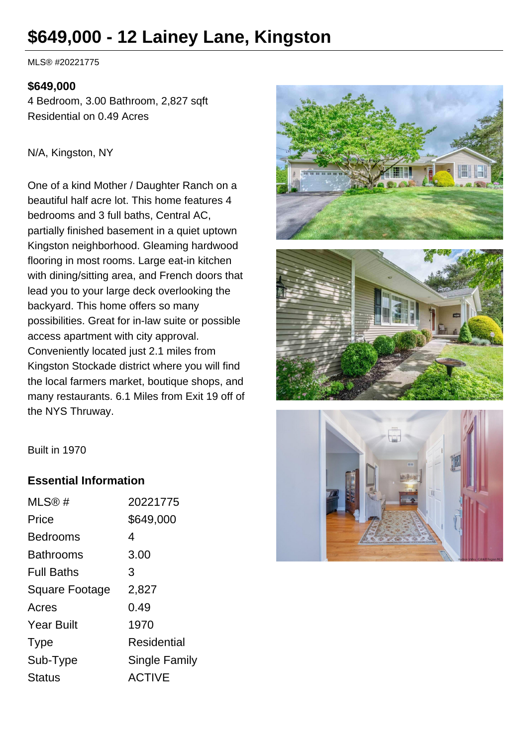# **\$649,000 - 12 Lainey Lane, Kingston**

MLS® #20221775

#### **\$649,000**

4 Bedroom, 3.00 Bathroom, 2,827 sqft Residential on 0.49 Acres

#### N/A, Kingston, NY

One of a kind Mother / Daughter Ranch on a beautiful half acre lot. This home features 4 bedrooms and 3 full baths, Central AC, partially finished basement in a quiet uptown Kingston neighborhood. Gleaming hardwood flooring in most rooms. Large eat-in kitchen with dining/sitting area, and French doors that lead you to your large deck overlooking the backyard. This home offers so many possibilities. Great for in-law suite or possible access apartment with city approval. Conveniently located just 2.1 miles from Kingston Stockade district where you will find the local farmers market, boutique shops, and many restaurants. 6.1 Miles from Exit 19 off of the NYS Thruway.







#### **Essential Information**

| 20221775             |
|----------------------|
| \$649,000            |
| 4                    |
| 3.00                 |
| 3                    |
| 2,827                |
| 0.49                 |
| 1970                 |
| Residential          |
| <b>Single Family</b> |
| <b>ACTIVE</b>        |
|                      |

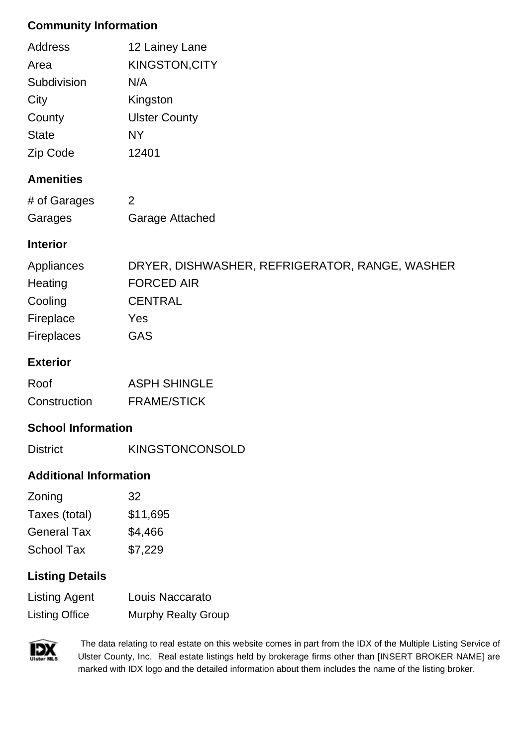# **Community Information**

| Address         | 12 Lainey Lane        |
|-----------------|-----------------------|
| Area            | <b>KINGSTON, CITY</b> |
| Subdivision     | N/A                   |
| City            | Kingston              |
| County          | <b>Ulster County</b>  |
| <b>State</b>    | NY                    |
| <b>Zip Code</b> | 12401                 |

## **Amenities**

| # of Garages |                        |
|--------------|------------------------|
| Garages      | <b>Garage Attached</b> |

# **Interior**

| Appliances        | DRYER, DISHWASHER, REFRIGERATOR, RANGE, WASHER |
|-------------------|------------------------------------------------|
| Heating           | <b>FORCED AIR</b>                              |
| Cooling           | <b>CENTRAL</b>                                 |
| Fireplace         | Yes                                            |
| <b>Fireplaces</b> | <b>GAS</b>                                     |

## **Exterior**

| Roof         | <b>ASPH SHINGLE</b> |
|--------------|---------------------|
| Construction | <b>FRAME/STICK</b>  |

# **School Information**

| <b>District</b> | <b>KINGSTONCONSOLD</b> |
|-----------------|------------------------|

## **Additional Information**

| Zoning             | 32       |
|--------------------|----------|
| Taxes (total)      | \$11,695 |
| <b>General Tax</b> | \$4,466  |
| <b>School Tax</b>  | \$7,229  |

## **Listing Details**

| <b>Listing Agent</b>  | Louis Naccarato            |
|-----------------------|----------------------------|
| <b>Listing Office</b> | <b>Murphy Realty Group</b> |



 The data relating to real estate on this website comes in part from the IDX of the Multiple Listing Service of Ulster County, Inc. Real estate listings held by brokerage firms other than [INSERT BROKER NAME] are marked with IDX logo and the detailed information about them includes the name of the listing broker.